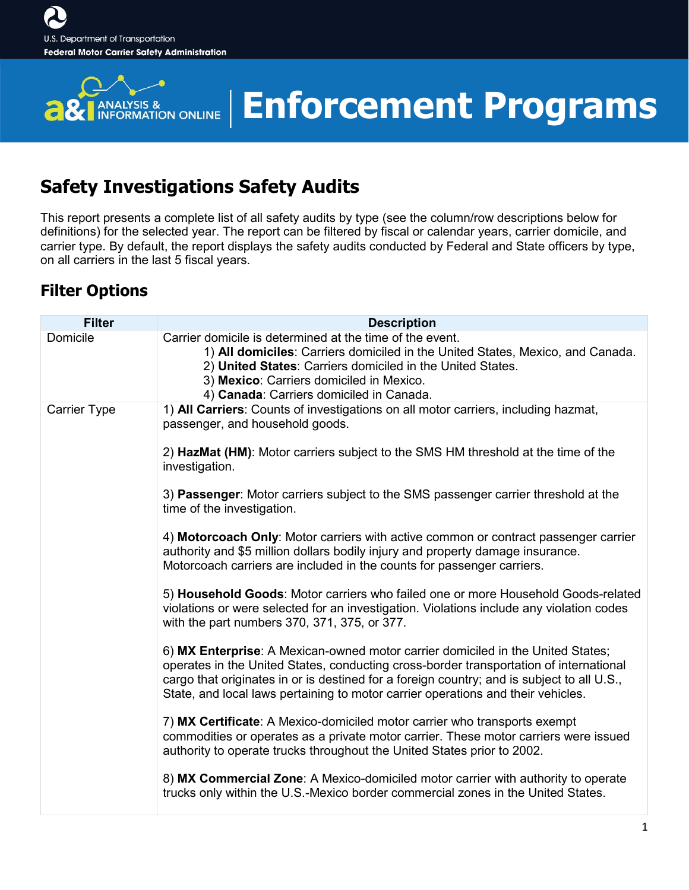

# **Enforcement Programs**

### **Safety Investigations Safety Audits**

This report presents a complete list of all safety audits by type (see the column/row descriptions below for definitions) for the selected year. The report can be filtered by fiscal or calendar years, carrier domicile, and carrier type. By default, the report displays the safety audits conducted by Federal and State officers by type, on all carriers in the last 5 fiscal years.

### **Filter Options**

| <b>Filter</b>       | <b>Description</b>                                                                                                                                                                                                                                                                                                                                          |
|---------------------|-------------------------------------------------------------------------------------------------------------------------------------------------------------------------------------------------------------------------------------------------------------------------------------------------------------------------------------------------------------|
| Domicile            | Carrier domicile is determined at the time of the event.<br>1) All domiciles: Carriers domiciled in the United States, Mexico, and Canada.<br>2) United States: Carriers domiciled in the United States.<br>3) Mexico: Carriers domiciled in Mexico.<br>4) Canada: Carriers domiciled in Canada.                                                            |
| <b>Carrier Type</b> | 1) All Carriers: Counts of investigations on all motor carriers, including hazmat,<br>passenger, and household goods.                                                                                                                                                                                                                                       |
|                     | 2) HazMat (HM): Motor carriers subject to the SMS HM threshold at the time of the<br>investigation.                                                                                                                                                                                                                                                         |
|                     | 3) Passenger: Motor carriers subject to the SMS passenger carrier threshold at the<br>time of the investigation.                                                                                                                                                                                                                                            |
|                     | 4) Motorcoach Only: Motor carriers with active common or contract passenger carrier<br>authority and \$5 million dollars bodily injury and property damage insurance.<br>Motorcoach carriers are included in the counts for passenger carriers.                                                                                                             |
|                     | 5) Household Goods: Motor carriers who failed one or more Household Goods-related<br>violations or were selected for an investigation. Violations include any violation codes<br>with the part numbers 370, 371, 375, or 377.                                                                                                                               |
|                     | 6) MX Enterprise: A Mexican-owned motor carrier domiciled in the United States;<br>operates in the United States, conducting cross-border transportation of international<br>cargo that originates in or is destined for a foreign country; and is subject to all U.S.,<br>State, and local laws pertaining to motor carrier operations and their vehicles. |
|                     | 7) MX Certificate: A Mexico-domiciled motor carrier who transports exempt<br>commodities or operates as a private motor carrier. These motor carriers were issued<br>authority to operate trucks throughout the United States prior to 2002.                                                                                                                |
|                     | 8) MX Commercial Zone: A Mexico-domiciled motor carrier with authority to operate<br>trucks only within the U.S.-Mexico border commercial zones in the United States.                                                                                                                                                                                       |